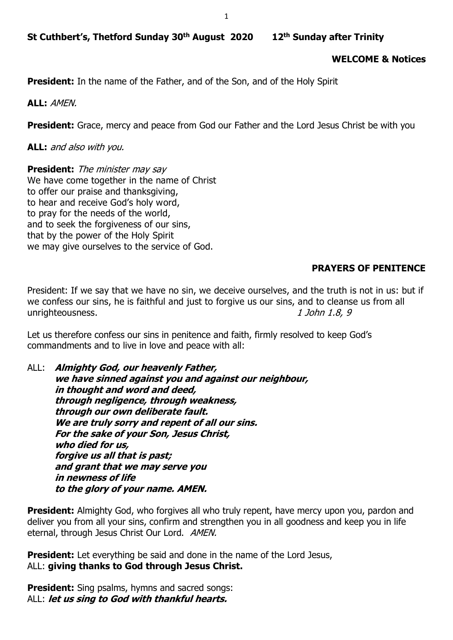# **St Cuthbert's, Thetford Sunday 30 th August 2020 12 th Sunday after Trinity**

### **WELCOME & Notices**

**President:** In the name of the Father, and of the Son, and of the Holy Spirit

**ALL:** AMEN.

**President:** Grace, mercy and peace from God our Father and the Lord Jesus Christ be with you

**ALL:** and also with you.

**President:** The minister may say We have come together in the name of Christ to offer our praise and thanksgiving, to hear and receive God's holy word, to pray for the needs of the world, and to seek the forgiveness of our sins, that by the power of the Holy Spirit we may give ourselves to the service of God.

### **PRAYERS OF PENITENCE**

President: If we say that we have no sin, we deceive ourselves, and the truth is not in us: but if we confess our sins, he is faithful and just to forgive us our sins, and to cleanse us from all unrighteousness. The contract of the contract of the contract of the contract of the contract of the contract o

Let us therefore confess our sins in penitence and faith, firmly resolved to keep God's commandments and to live in love and peace with all:

ALL: **Almighty God, our heavenly Father, we have sinned against you and against our neighbour, in thought and word and deed, through negligence, through weakness, through our own deliberate fault. We are truly sorry and repent of all our sins. For the sake of your Son, Jesus Christ, who died for us, forgive us all that is past; and grant that we may serve you in newness of life to the glory of your name. AMEN.** 

**President:** Almighty God, who forgives all who truly repent, have mercy upon you, pardon and deliver you from all your sins, confirm and strengthen you in all goodness and keep you in life eternal, through Jesus Christ Our Lord. AMEN.

**President:** Let everything be said and done in the name of the Lord Jesus, ALL: **giving thanks to God through Jesus Christ.**

**President:** Sing psalms, hymns and sacred songs: ALL: **let us sing to God with thankful hearts.**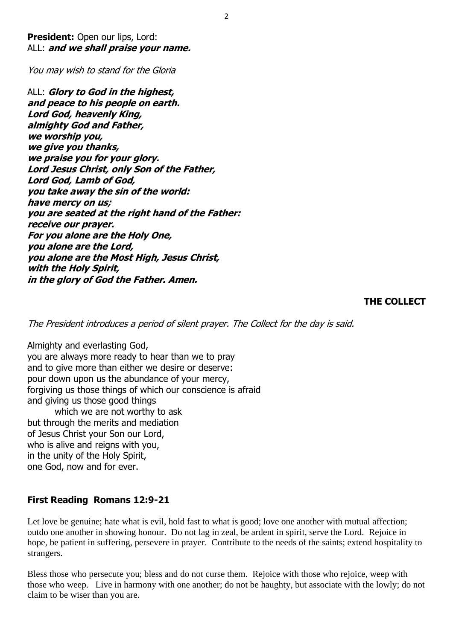**President:** Open our lips, Lord: ALL: **and we shall praise your name.**

You may wish to stand for the Gloria

ALL: **Glory to God in the highest, and peace to his people on earth. Lord God, heavenly King, almighty God and Father, we worship you, we give you thanks, we praise you for your glory. Lord Jesus Christ, only Son of the Father, Lord God, Lamb of God, you take away the sin of the world: have mercy on us; you are seated at the right hand of the Father: receive our prayer. For you alone are the Holy One, you alone are the Lord, you alone are the Most High, Jesus Christ, with the Holy Spirit, in the glory of God the Father. Amen.**

#### **THE COLLECT**

The President introduces a period of silent prayer. The Collect for the day is said.

Almighty and everlasting God, you are always more ready to hear than we to pray and to give more than either we desire or deserve: pour down upon us the abundance of your mercy, forgiving us those things of which our conscience is afraid and giving us those good things which we are not worthy to ask but through the merits and mediation of Jesus Christ your Son our Lord, who is alive and reigns with you, in the unity of the Holy Spirit, one God, now and for ever.

### **First Reading Romans 12:9-21**

Let love be genuine; hate what is evil, hold fast to what is good; love one another with mutual affection; outdo one another in showing honour. Do not lag in zeal, be ardent in spirit, serve the Lord. Rejoice in hope, be patient in suffering, persevere in prayer. Contribute to the needs of the saints; extend hospitality to strangers.

Bless those who persecute you; bless and do not curse them. Rejoice with those who rejoice, weep with those who weep. Live in harmony with one another; do not be haughty, but associate with the lowly; do not claim to be wiser than you are.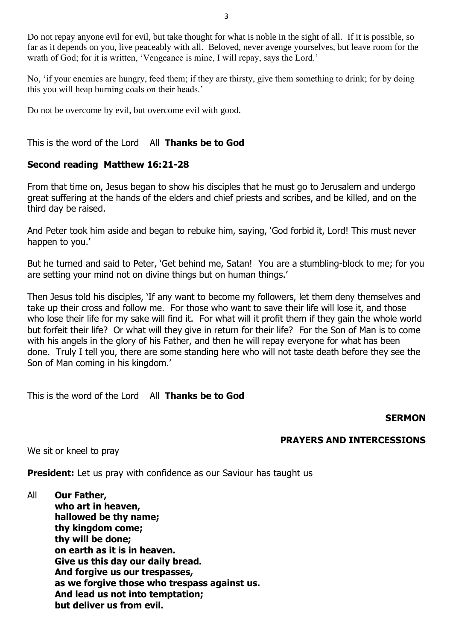Do not repay anyone evil for evil, but take thought for what is noble in the sight of all. If it is possible, so far as it depends on you, live peaceably with all. Beloved, never avenge yourselves, but leave room for the wrath of God; for it is written, 'Vengeance is mine, I will repay, says the Lord.'

No, 'if your enemies are hungry, feed them; if they are thirsty, give them something to drink; for by doing this you will heap burning coals on their heads.'

Do not be overcome by evil, but overcome evil with good.

This is the word of the LordAll **Thanks be to God**

### **Second reading Matthew 16:21-28**

From that time on, Jesus began to show his disciples that he must go to Jerusalem and undergo great suffering at the hands of the elders and chief priests and scribes, and be killed, and on the third day be raised.

And Peter took him aside and began to rebuke him, saying, 'God forbid it, Lord! This must never happen to you.'

But he turned and said to Peter, 'Get behind me, Satan! You are a stumbling-block to me; for you are setting your mind not on divine things but on human things.'

Then Jesus told his disciples, 'If any want to become my followers, let them deny themselves and take up their cross and follow me. For those who want to save their life will lose it, and those who lose their life for my sake will find it. For what will it profit them if they gain the whole world but forfeit their life? Or what will they give in return for their life? For the Son of Man is to come with his angels in the glory of his Father, and then he will repay everyone for what has been done. Truly I tell you, there are some standing here who will not taste death before they see the Son of Man coming in his kingdom.'

This is the word of the LordAll **Thanks be to God**

### **SERMON**

#### **PRAYERS AND INTERCESSIONS**

We sit or kneel to pray

**President:** Let us pray with confidence as our Saviour has taught us

All **Our Father, who art in heaven, hallowed be thy name; thy kingdom come; thy will be done; on earth as it is in heaven. Give us this day our daily bread. And forgive us our trespasses, as we forgive those who trespass against us. And lead us not into temptation; but deliver us from evil.**